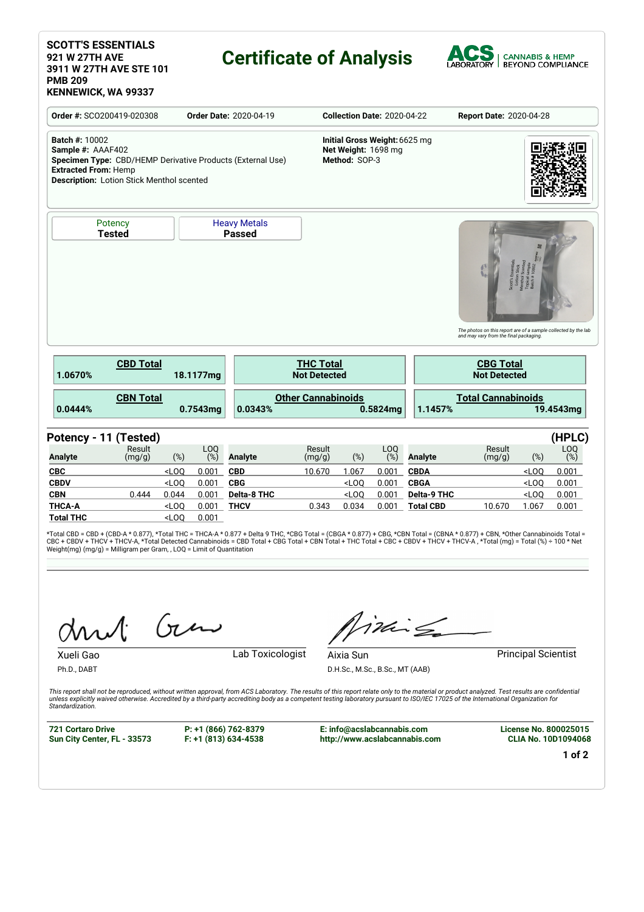#### **SCOTT'S ESSENTIALS 921 W 27TH AVE 3911 W 27TH AVE STE 101 PMB 209 KENNEWICK, WA 99337**

## **Certificate of Analysis**



**Order #:** SCO200419-020308 **Order Date:** 2020-04-19 **Collection Date:** 2020-04-22 **Report Date:** 2020-04-28 **Batch #:** 10002 **Sample #:** AAAF402 **Specimen Type:** CBD/HEMP Derivative Products (External Use) **Extracted From:** Hemp **Description:** Lotion Stick Menthol scented **Initial Gross Weight:**6625 mg **Net Weight:** 1698 mg **Method:** SOP-3 **Potency Tested** Heavy Metals **Passed** The photos on this report are of a sample collected by the lab<br>and may vary from the final packaging. **CBD Total 1.0670% 18.1177mg THC Total Not Detected CBG Total Not Detected CBN Total 0.0444% 0.7543mg Other Cannabinoids 0.0343% 0.5824mg Total Cannabinoids 1.1457% 19.4543mg Potency - 11 (Tested) (HPLC) Analyte** Result (mg/g) (%) LOQ<br>(%) (%) **Analyte** Result (mg/g) (%) LOQ<br>(%) (%) **Analyte** Result (mg/g) (%) LOQ (%) **CBC** <LOQ 0.001 **CBD** 10.670 1.067 0.001 **CBDA** <LOQ 0.001 **CBDV** <LOQ 0.001 **CBG** <LOQ 0.001 **CBGA** <LOQ 0.001 **CBN** 0.444 0.044 0.001 **Delta-8 THC** <LOQ 0.001 **Delta-9 THC** <LOQ 0.001 **THCA-A** <LOQ 0.001 **THCV** 0.343 0.034 0.001 **Total CBD** 10.670 1.067 0.001 **Total THC** <LOQ 0.001

\*Total CBD = CBD + (CBD-A \* 0.877), \*Total THC = THCA-A \* 0.877 + Delta 9 THC, \*CBG Total = (CBGA \* 0.877) + CBG, \*CBN Total = (CBNA \* 0.877) + CBN, \*Other Cannabinoids Total =<br>CBC + CBDV + THCV + THCV-A, \*Total Detected C Weight(mg) (mg/g) = Milligram per Gram, , LOQ = Limit of Quantitation

Gen

Ph.D., DABT

Xueli Gao **Lab Toxicologist** 

inis

**Aixia Sun**<br> **Aixia Sun**<br> **Aixia Sun** D.H.Sc., M.Sc., B.Sc., MT (AAB)

This report shall not be reproduced, without written approval, from ACS Laboratory. The results of this report relate only to the material or product analyzed. Test results are confidential otherwise. Accredited by a third-party accrediting body as a competent testing laboratory pursuant to ISO/IEC 17025 of the International Organization for the content of the international Organization for *Standardization.*

**721 Cortaro Drive Sun City Center, FL - 33573**

**P: +1 (866) 762-8379 F: +1 (813) 634-4538** **E: info@acslabcannabis.com http://www.acslabcannabis.com** **License No. 800025015 CLIA No. 10D1094068**

**1 of 2**